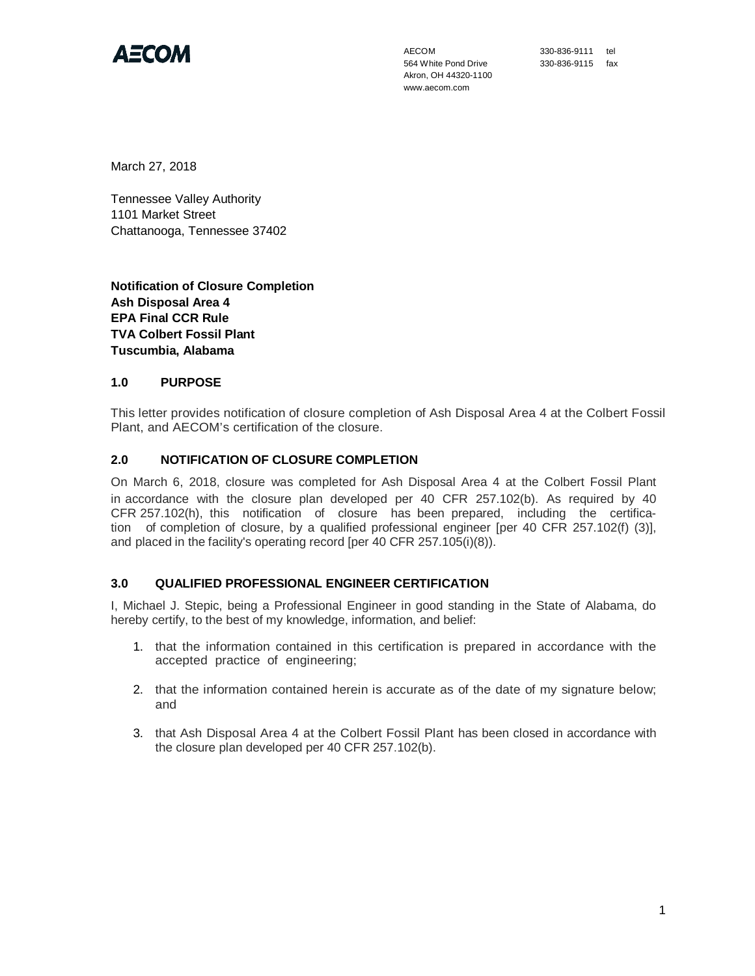

AECOM 564 White Pond Drive Akron, OH 44320-1100 www.aecom.com

330-836-9111 tel 330-836-9115 fax

March 27, 2018

Tennessee Valley Authority 1101 Market Street Chattanooga, Tennessee 37402

**Notification of Closure Completion Ash Disposal Area 4 EPA Final CCR Rule TVA Colbert Fossil Plant Tuscumbia, Alabama**

## **1.0 PURPOSE**

This letter provides notification of closure completion of Ash Disposal Area 4 at the Colbert Fossil Plant, and AECOM's certification of the closure.

## **2.0 NOTIFICATION OF CLOSURE COMPLETION**

On March 6, 2018, closure was completed for Ash Disposal Area 4 at the Colbert Fossil Plant in accordance with the closure plan developed per 40 CFR 257.102(b). As required by 40 CFR 257.102(h), this notification of closure has been prepared, including the certification of completion of closure, by a qualified professional engineer [per 40 CFR 257.102(f) (3)], and placed in the facility's operating record [per 40 CFR 257.105(i)(8)).

## **3.0 QUALIFIED PROFESSIONAL ENGINEER CERTIFICATION**

I, Michael J. Stepic, being a Professional Engineer in good standing in the State of Alabama, do hereby certify, to the best of my knowledge, information, and belief:

- 1. that the information contained in this certification is prepared in accordance with the accepted practice of engineering;
- 2. that the information contained herein is accurate as of the date of my signature below; and
- 3. that Ash Disposal Area 4 at the Colbert Fossil Plant has been closed in accordance with the closure plan developed per 40 CFR 257.102(b).